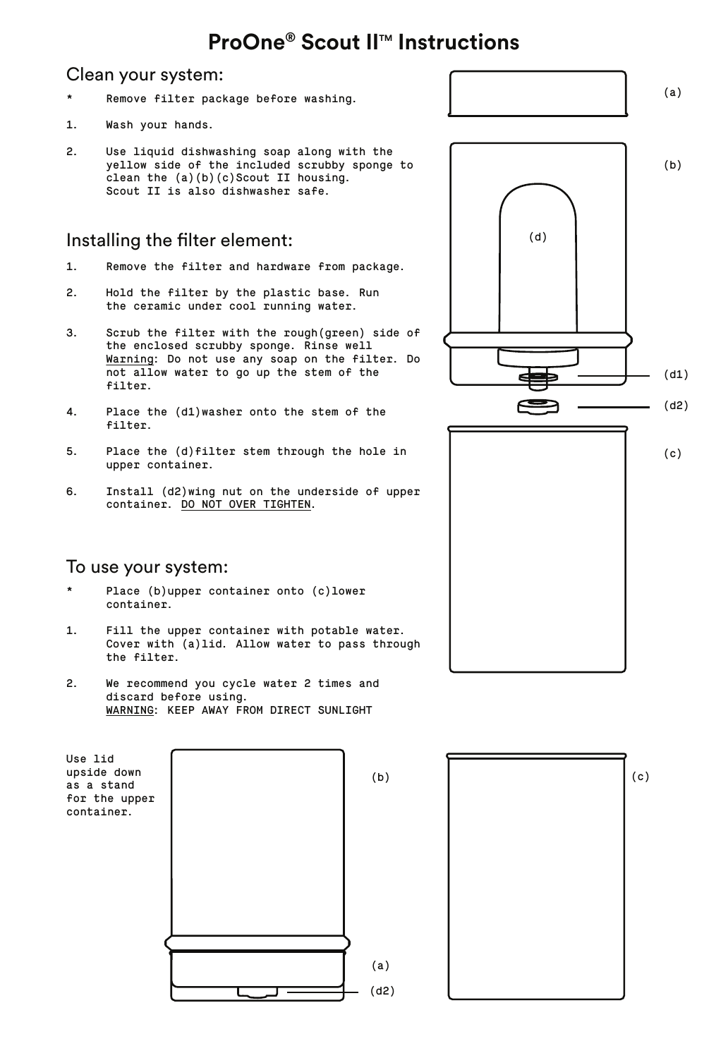# **ProOne® Scout II™ Instructions**

#### Clean your system:

- Remove filter package before washing. \*
- Wash your hands. 1.
- Use liquid dishwashing soap along with the yellow side of the included scrubby sponge to clean the (a)(b)(c)Scout II housing. Scout II is also dishwasher safe. 2.

### Installing the filter element:

- Remove the filter and hardware from package. 1.
- Hold the filter by the plastic base. Run the ceramic under cool running water. 2.
- Scrub the filter with the rough(green) side of the enclosed scrubby sponge. Rinse well <u>Warning</u>: Do not use any soap on the filter. Do<br>not allow water to go up the stem of the filter. 3.
- Place the (d1)washer onto the stem of the filter. 4.
- Place the (d) filter stem through the hole in upper container. 5.
- Install (d2)wing nut on the underside of upper container. DO NOT OVER TIGHTEN. 6.

#### To use your system:

- Place (b)upper container onto (c)lower container. \*
- Fill the upper container with potable water. Cover with (a)lid. Allow water to pass through the filter. 1.
- We recommend you cycle water 2 times and discard before using. WARNING: KEEP AWAY FROM DIRECT SUNLIGHT 2.